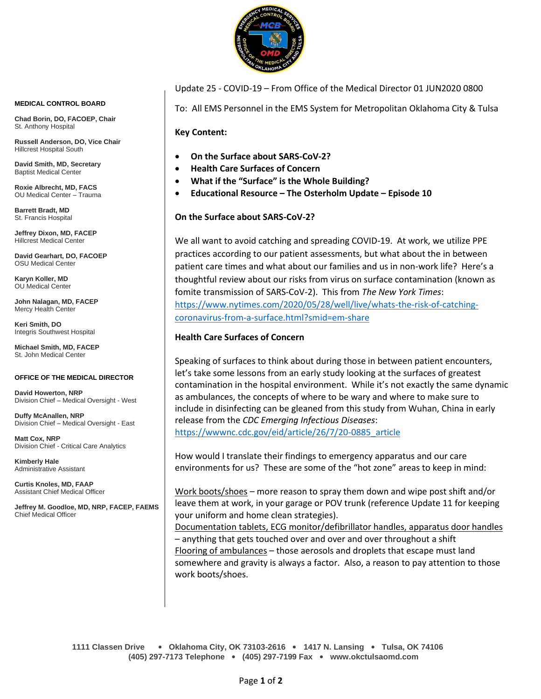

**MEDICAL CONTROL BOARD**

**Chad Borin, DO, FACOEP, Chair**  St. Anthony Hospital

**Russell Anderson, DO, Vice Chair** Hillcrest Hospital South

**David Smith, MD, Secretary** Baptist Medical Center

**Roxie Albrecht, MD, FACS** OU Medical Center – Trauma

**Barrett Bradt, MD** St. Francis Hospital

**Jeffrey Dixon, MD, FACEP** Hillcrest Medical Center

**David Gearhart, DO, FACOEP** OSU Medical Center

**Karyn Koller, MD** OU Medical Center

**John Nalagan, MD, FACEP** Mercy Health Center

**Keri Smith, DO** Integris Southwest Hospital

**Michael Smith, MD, FACEP** St. John Medical Center

## **OFFICE OF THE MEDICAL DIRECTOR**

**David Howerton, NRP** Division Chief – Medical Oversight - West

**Duffy McAnallen, NRP** Division Chief – Medical Oversight - East

**Matt Cox, NRP** Division Chief - Critical Care Analytics

**Kimberly Hale** Administrative Assistant

**Curtis Knoles, MD, FAAP** Assistant Chief Medical Officer

**Jeffrey M. Goodloe, MD, NRP, FACEP, FAEMS** Chief Medical Officer

Update 25 - COVID-19 – From Office of the Medical Director 01 JUN2020 0800

To: All EMS Personnel in the EMS System for Metropolitan Oklahoma City & Tulsa

**Key Content:**

- **On the Surface about SARS-CoV-2?**
- **Health Care Surfaces of Concern**
- **What if the "Surface" is the Whole Building?**
- **Educational Resource – The Osterholm Update – Episode 10**

**On the Surface about SARS-CoV-2?**

We all want to avoid catching and spreading COVID-19. At work, we utilize PPE practices according to our patient assessments, but what about the in between patient care times and what about our families and us in non-work life? Here's a thoughtful review about our risks from virus on surface contamination (known as fomite transmission of SARS-CoV-2). This from *The New York Times*: [https://www.nytimes.com/2020/05/28/well/live/whats-the-risk-of-catching](https://www.nytimes.com/2020/05/28/well/live/whats-the-risk-of-catching-coronavirus-from-a-surface.html?smid=em-share)[coronavirus-from-a-surface.html?smid=em-share](https://www.nytimes.com/2020/05/28/well/live/whats-the-risk-of-catching-coronavirus-from-a-surface.html?smid=em-share)

## **Health Care Surfaces of Concern**

Speaking of surfaces to think about during those in between patient encounters, let's take some lessons from an early study looking at the surfaces of greatest contamination in the hospital environment. While it's not exactly the same dynamic as ambulances, the concepts of where to be wary and where to make sure to include in disinfecting can be gleaned from this study from Wuhan, China in early release from the *CDC Emerging Infectious Diseases*: [https://wwwnc.cdc.gov/eid/article/26/7/20-0885\\_article](https://wwwnc.cdc.gov/eid/article/26/7/20-0885_article)

How would I translate their findings to emergency apparatus and our care environments for us? These are some of the "hot zone" areas to keep in mind:

Work boots/shoes – more reason to spray them down and wipe post shift and/or leave them at work, in your garage or POV trunk (reference Update 11 for keeping your uniform and home clean strategies).

Documentation tablets, ECG monitor/defibrillator handles, apparatus door handles – anything that gets touched over and over and over throughout a shift Flooring of ambulances – those aerosols and droplets that escape must land somewhere and gravity is always a factor. Also, a reason to pay attention to those work boots/shoes.

**1111 Classen Drive** • **Oklahoma City, OK 73103-2616** • **1417 N. Lansing** • **Tulsa, OK 74106 (405) 297-7173 Telephone** • **(405) 297-7199 Fax** • **www.okctulsaomd.com**